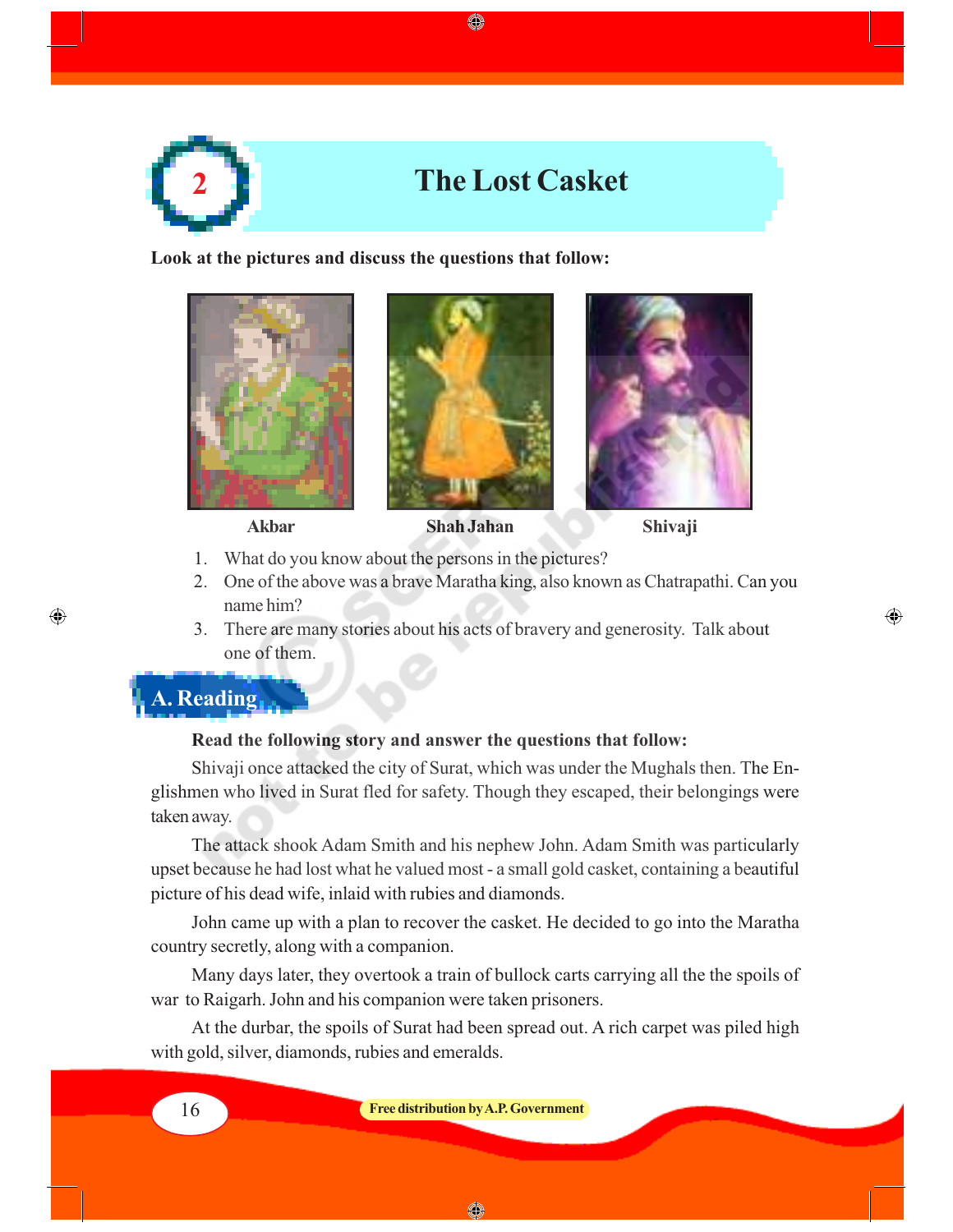

◈

**Look at the pictures and discuss the questions that follow:**







 $\bigoplus$ 

- 
- 1. What do you know about the persons in the pictures?
- 2. One of the above was a brave Maratha king, also known as Chatrapathi. Can you name him?
- 3. There are many stories about his acts of bravery and generosity. Talk about one of them.

**A. Reading**

 $\bigoplus$ 

## **Read the following story and answer the questions that follow:**

Shivaji once attacked the city of Surat, which was under the Mughals then. The Englishmen who lived in Surat fled for safety. Though they escaped, their belongings were taken away.

The attack shook Adam Smith and his nephew John. Adam Smith was particularly upset because he had lost what he valued most - a small gold casket, containing a beautiful picture of his dead wife, inlaid with rubies and diamonds.

John came up with a plan to recover the casket. He decided to go into the Maratha country secretly, along with a companion.

Many days later, they overtook a train of bullock carts carrying all the the spoils of war to Raigarh. John and his companion were taken prisoners.

At the durbar, the spoils of Surat had been spread out. A rich carpet was piled high with gold, silver, diamonds, rubies and emeralds.

◈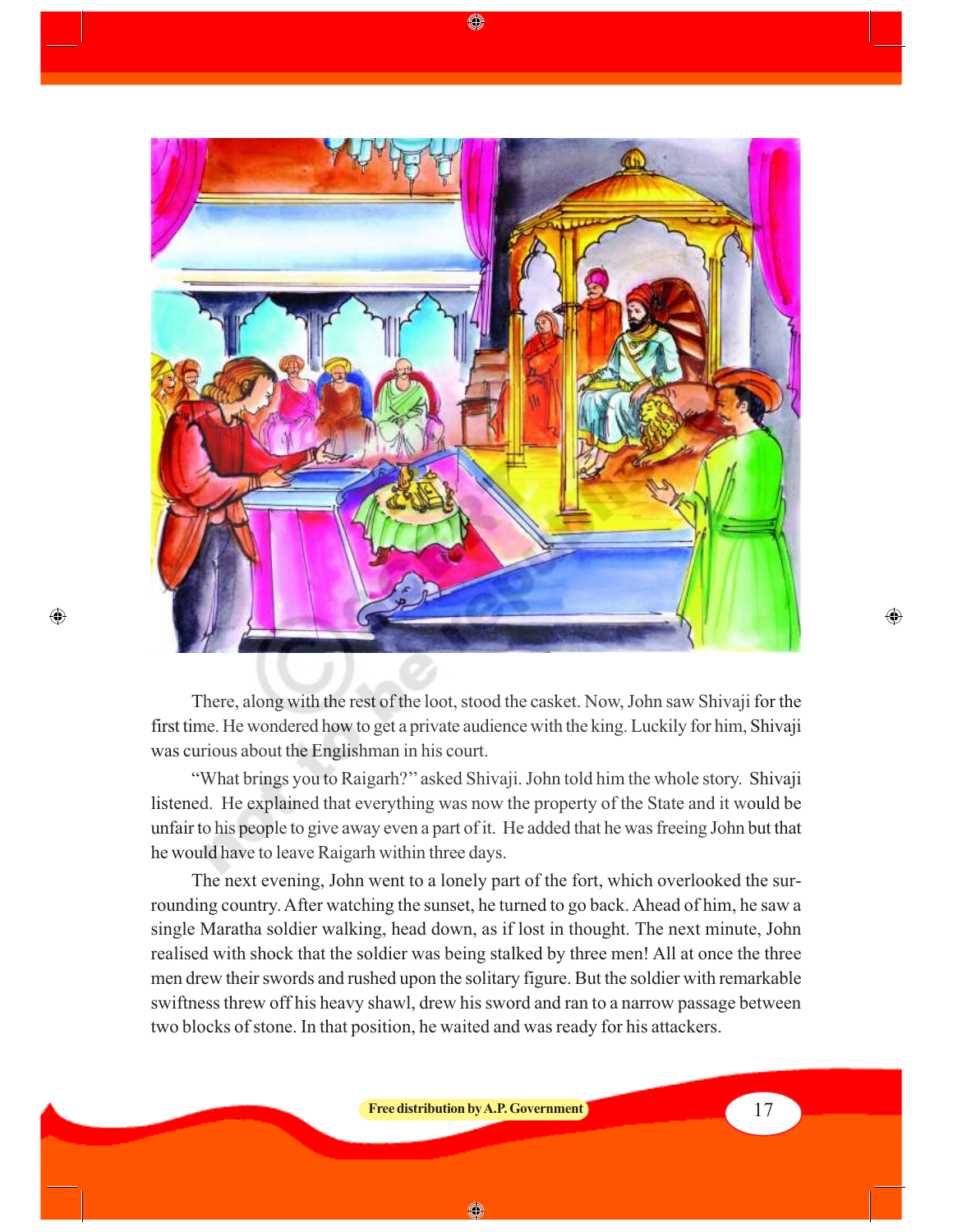

◈

There, along with the rest of the loot, stood the casket. Now, John saw Shivaji for the first time. He wondered how to get a private audience with the king. Luckily for him, Shivaji was curious about the Englishman in his court.

 $\bigoplus$ 

"What brings you to Raigarh?'' asked Shivaji. John told him the whole story. Shivaji listened. He explained that everything was now the property of the State and it would be unfair to his people to give away even a part of it. He added that he was freeing John but that he would have to leave Raigarh within three days.

The next evening, John went to a lonely part of the fort, which overlooked the surrounding country. After watching the sunset, he turned to go back. Ahead of him, he saw a single Maratha soldier walking, head down, as if lost in thought. The next minute, John realised with shock that the soldier was being stalked by three men! All at once the three men drew their swords and rushed upon the solitary figure. But the soldier with remarkable swiftness threw off his heavy shawl, drew his sword and ran to a narrow passage between two blocks of stone. In that position, he waited and was ready for his attackers.

**Free distribution by A.P. Government** 17

◈

 $\bigoplus$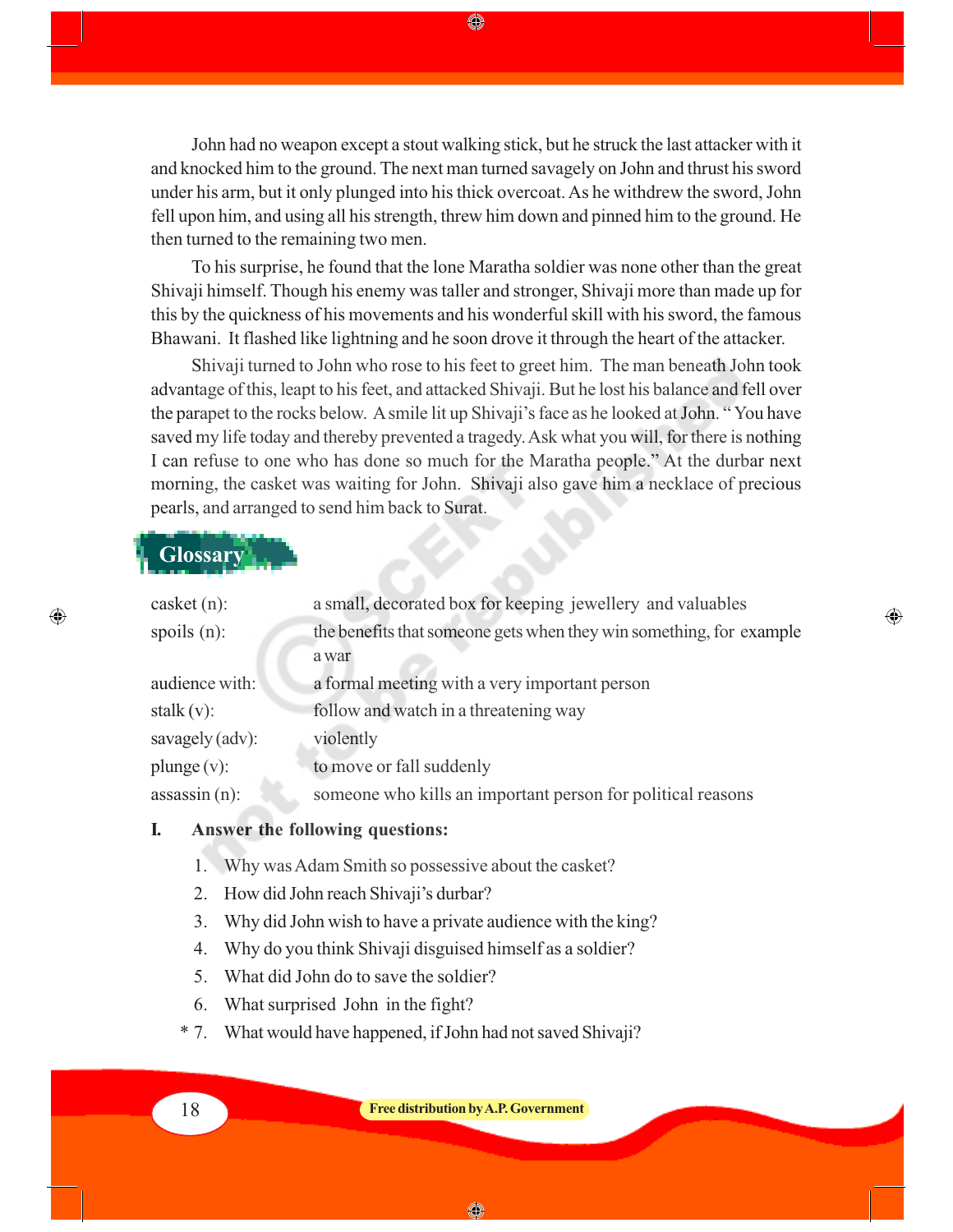John had no weapon except a stout walking stick, but he struck the last attacker with it and knocked him to the ground. The next man turned savagely on John and thrust his sword under his arm, but it only plunged into his thick overcoat. As he withdrew the sword, John fell upon him, and using all his strength, threw him down and pinned him to the ground. He then turned to the remaining two men.

◈

To his surprise, he found that the lone Maratha soldier was none other than the great Shivaji himself. Though his enemy was taller and stronger, Shivaji more than made up for this by the quickness of his movements and his wonderful skill with his sword, the famous Bhawani. It flashed like lightning and he soon drove it through the heart of the attacker.

Shivaji turned to John who rose to his feet to greet him. The man beneath John took advantage of this, leapt to his feet, and attacked Shivaji. But he lost his balance and fell over the parapet to the rocks below. A smile lit up Shivaji's face as he looked at John. " You have saved my life today and thereby prevented a tragedy. Ask what you will, for there is nothing I can refuse to one who has done so much for the Maratha people." At the durbar next morning, the casket was waiting for John. Shivaji also gave him a necklace of precious pearls, and arranged to send him back to Surat.

# **Glossary**

 $\bigcirc$ 

| $\casket(n)$ :  | a small, decorated box for keeping jewellery and valuables          |
|-----------------|---------------------------------------------------------------------|
| spoils $(n)$ :  | the benefits that someone gets when they win something, for example |
|                 | a war                                                               |
| audience with:  | a formal meeting with a very important person                       |
| stalk (v):      | follow and watch in a threatening way                               |
| savagely (adv): | violently                                                           |
| $plunge(v)$ :   | to move or fall suddenly                                            |
| assassin(n):    | someone who kills an important person for political reasons         |
|                 |                                                                     |

⊕

### **I. Answer the following questions:**

- 1. Why was Adam Smith so possessive about the casket?
- 2. How did John reach Shivaji's durbar?
- 3. Why did John wish to have a private audience with the king?
- 4. Why do you think Shivaji disguised himself as a soldier?
- 5. What did John do to save the soldier?
- 6. What surprised John in the fight?
- \* 7. What would have happened, if John had not saved Shivaji?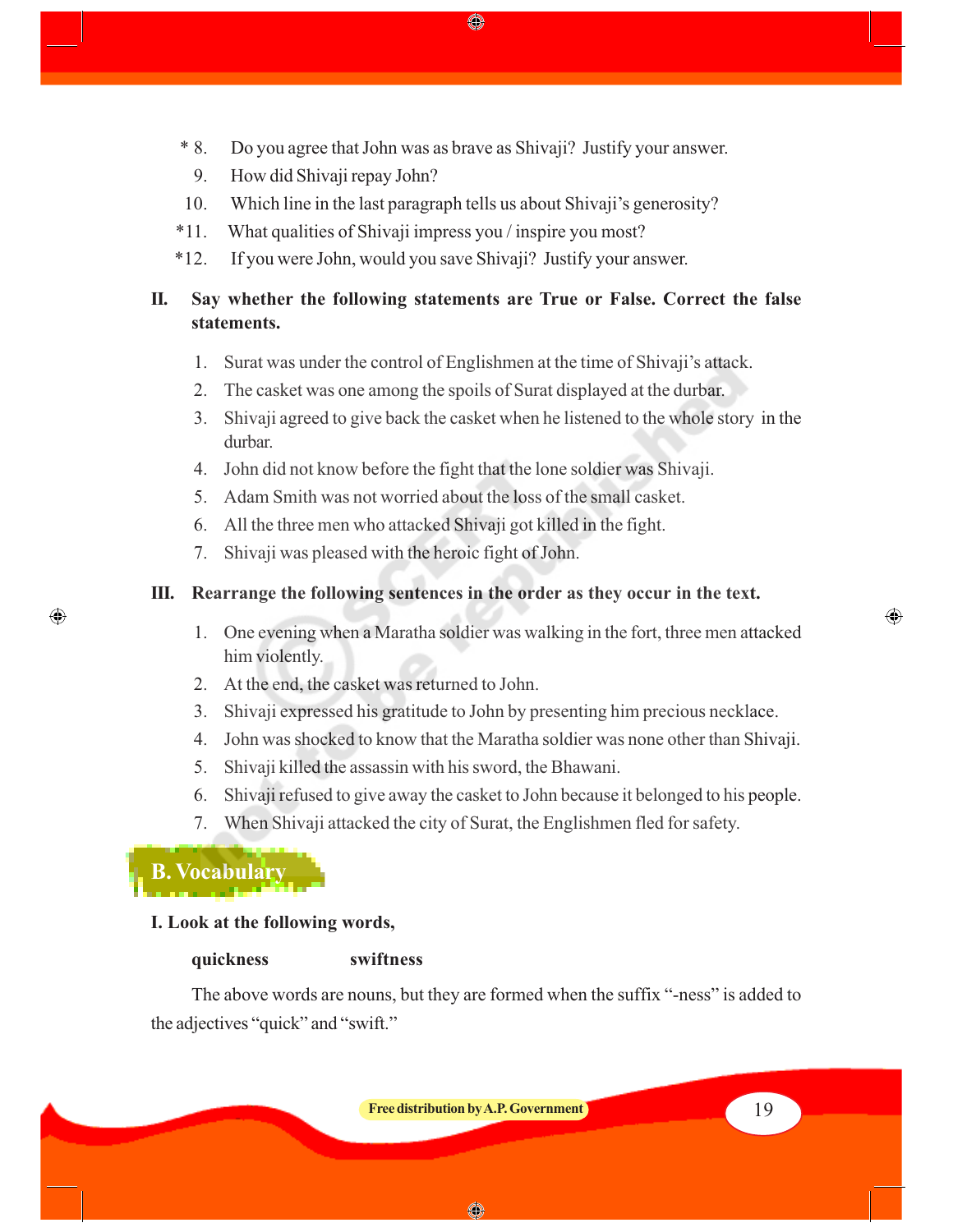\* 8. Do you agree that John was as brave as Shivaji? Justify your answer.

◈

- 9. How did Shivaji repay John?
- 10. Which line in the last paragraph tells us about Shivaji's generosity?
- \*11. What qualities of Shivaji impress you / inspire you most?
- \*12. If you were John, would you save Shivaji? Justify your answer.

# **II. Say whether the following statements are True or False. Correct the false statements.**

- 1. Surat was under the control of Englishmen at the time of Shivaji's attack.
- 2. The casket was one among the spoils of Surat displayed at the durbar.
- 3. Shivaji agreed to give back the casket when he listened to the whole story in the durbar.
- 4. John did not know before the fight that the lone soldier was Shivaji.
- 5. Adam Smith was not worried about the loss of the small casket.
- 6. All the three men who attacked Shivaji got killed in the fight.
- 7. Shivaji was pleased with the heroic fight of John.

# **III. Rearrange the following sentences in the order as they occur in the text.**

- 1. One evening when a Maratha soldier was walking in the fort, three men attacked him violently.
- 2. At the end, the casket was returned to John.
- 3. Shivaji expressed his gratitude to John by presenting him precious necklace.
- 4. John was shocked to know that the Maratha soldier was none other than Shivaji.
- 5. Shivaji killed the assassin with his sword, the Bhawani.
- 6. Shivaji refused to give away the casket to John because it belonged to his people.
- 7. When Shivaji attacked the city of Surat, the Englishmen fled for safety.



⊕

# **I. Look at the following words,**

# **quickness swiftness**

The above words are nouns, but they are formed when the suffix "-ness" is added to

the adjectives "quick" and "swift."

**Free distribution by A.P. Government** 19

⊕

◈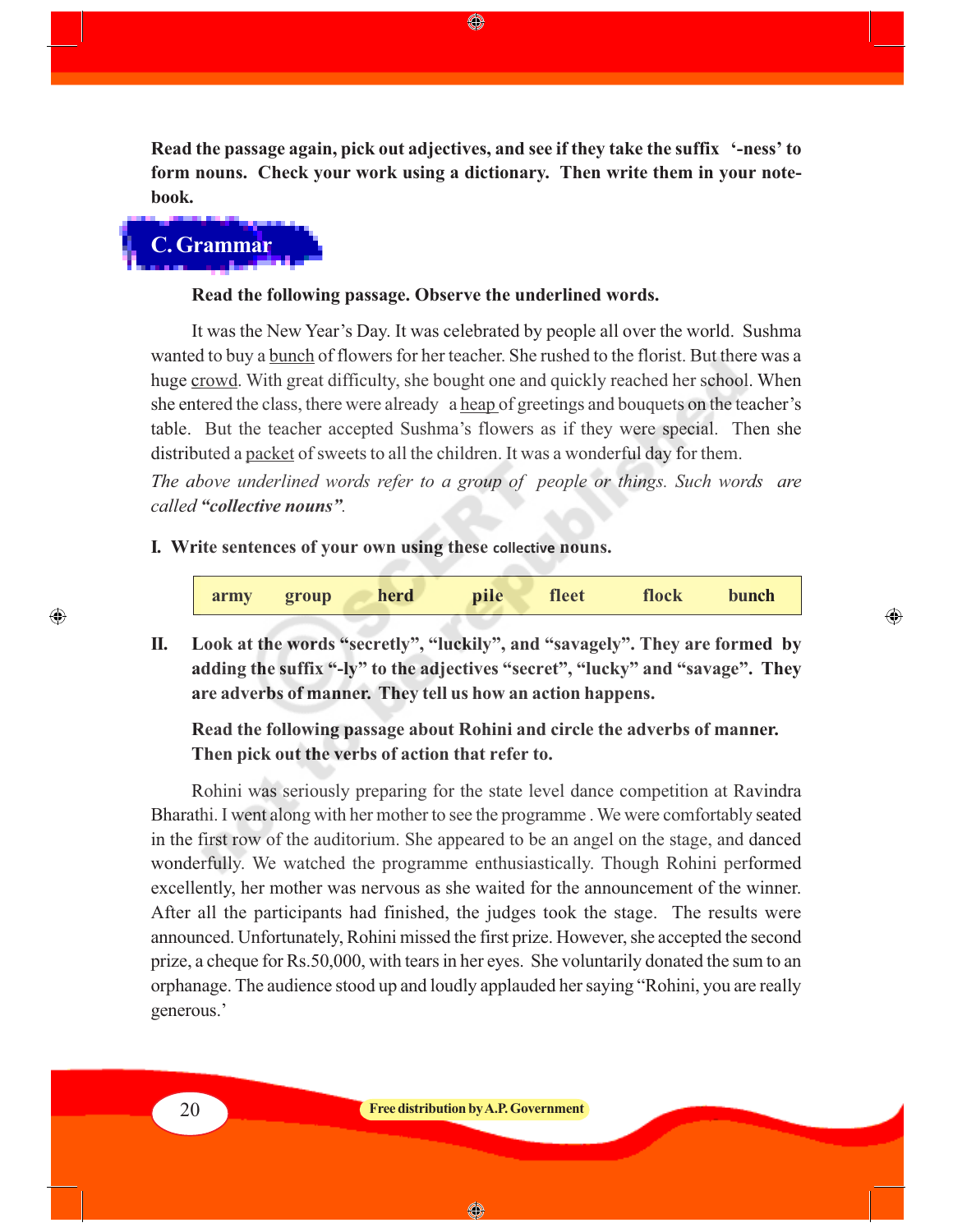**Read the passage again, pick out adjectives, and see if they take the suffix '-ness' to form nouns. Check your work using a dictionary. Then write them in your notebook.**

◈

**C. Grammar**

#### **Read the following passage. Observe the underlined words.**

It was the New Year's Day. It was celebrated by people all over the world. Sushma wanted to buy a bunch of flowers for her teacher. She rushed to the florist. But there was a huge crowd. With great difficulty, she bought one and quickly reached her school. When she entered the class, there were already a heap of greetings and bouquets on the teacher's table. But the teacher accepted Sushma's flowers as if they were special. Then she distributed a packet of sweets to all the children. It was a wonderful day for them.

*The above underlined words refer to a group of people or things. Such words are called "collective nouns".*

#### **I. Write sentences of your own using these collective nouns.**

| pile<br>herd<br>fleet<br>flock<br>bunch<br>group<br>army |
|----------------------------------------------------------|
|----------------------------------------------------------|

⊕

**II. Look at the words "secretly", "luckily", and "savagely". They are formed by adding the suffix "-ly" to the adjectives "secret", "lucky" and "savage". They are adverbs of manner. They tell us how an action happens.**

# **Read the following passage about Rohini and circle the adverbs of manner. Then pick out the verbs of action that refer to.**

Rohini was seriously preparing for the state level dance competition at Ravindra Bharathi. I went along with her mother to see the programme . We were comfortably seated in the first row of the auditorium. She appeared to be an angel on the stage, and danced wonderfully. We watched the programme enthusiastically. Though Rohini performed excellently, her mother was nervous as she waited for the announcement of the winner. After all the participants had finished, the judges took the stage. The results were announced. Unfortunately, Rohini missed the first prize. However, she accepted the second prize, a cheque for Rs.50,000, with tears in her eyes. She voluntarily donated the sum to an orphanage. The audience stood up and loudly applauded her saying "Rohini, you are really generous.'

 $\bigcirc$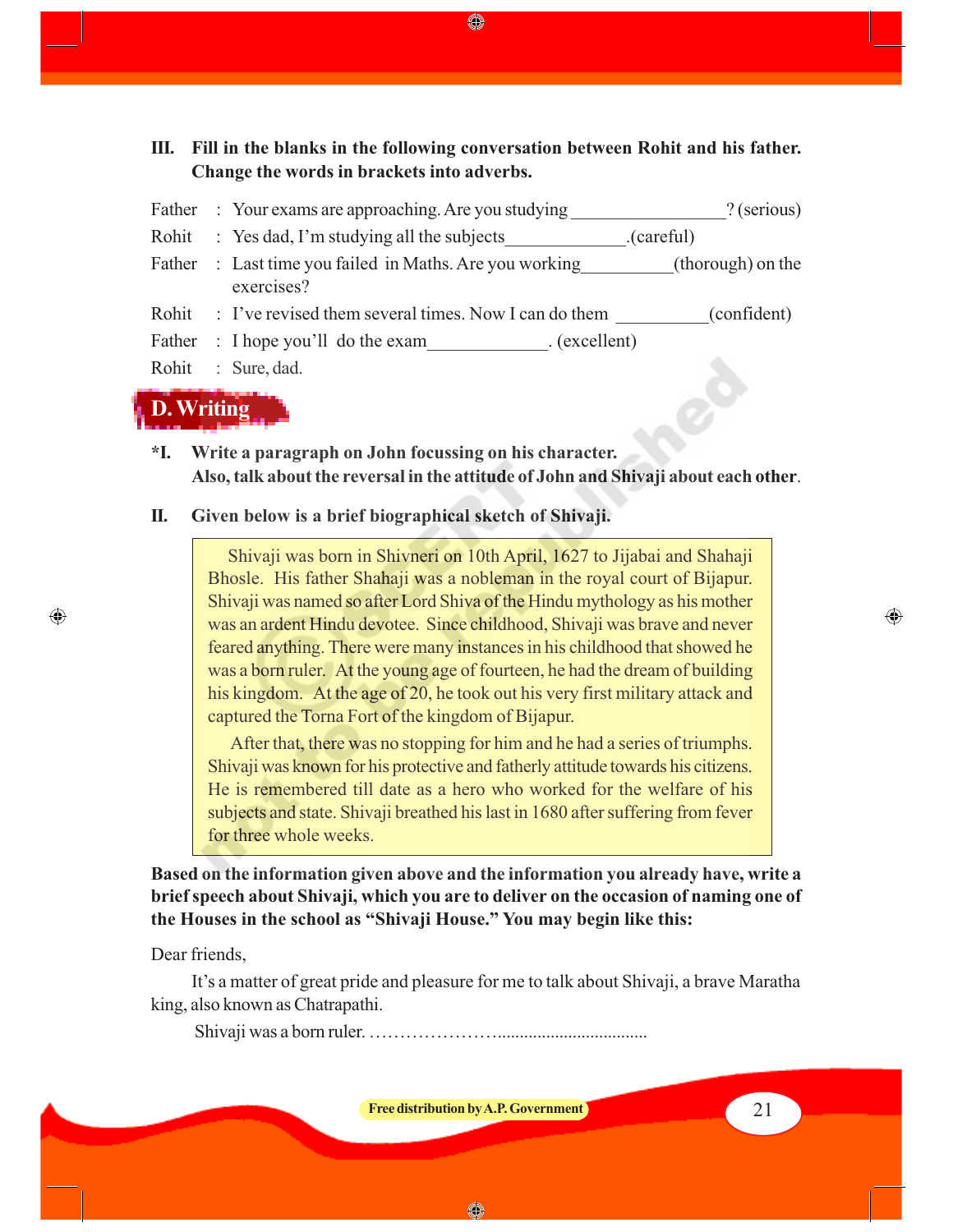**III. Fill in the blanks in the following conversation between Rohit and his father. Change the words in brackets into adverbs.** Father : Your exams are approaching. Are you studying ? (serious) Rohit : Yes dad, I'm studying all the subjects (careful) Father : Last time you failed in Maths. Are you working (thorough) on the exercises? Rohit : I've revised them several times. Now I can do them (confident)

◈

- Father : I hope you'll do the exam (excellent)
- Rohit : Sure, dad.



⊕

- **\*I. Write a paragraph on John focussing on his character. Also, talk about the reversal in the attitude of John and Shivaji about each other**.
- **II. Given below is a brief biographical sketch of Shivaji.**

Shivaji was born in Shivneri on 10th April, 1627 to Jijabai and Shahaji Bhosle. His father Shahaji was a nobleman in the royal court of Bijapur. Shivaji was named so after Lord Shiva of the Hindu mythology as his mother was an ardent Hindu devotee. Since childhood, Shivaji was brave and never feared anything. There were many instances in his childhood that showed he was a born ruler. At the young age of fourteen, he had the dream of building his kingdom. At the age of 20, he took out his very first military attack and captured the Torna Fort of the kingdom of Bijapur.

 After that, there was no stopping for him and he had a series of triumphs. Shivaji was known for his protective and fatherly attitude towards his citizens. He is remembered till date as a hero who worked for the welfare of his subjects and state. Shivaji breathed his last in 1680 after suffering from fever for three whole weeks.

**Based on the information given above and the information you already have, write a brief speech about Shivaji, which you are to deliver on the occasion of naming one of the Houses in the school as "Shivaji House." You may begin like this:**

#### Dear friends,

It's a matter of great pride and pleasure for me to talk about Shivaji, a brave Maratha king, also known as Chatrapathi.

Shivaji was a born ruler. …………………..................................

**Free distribution by A.P. Government 1988 1988 1988 21** 

◈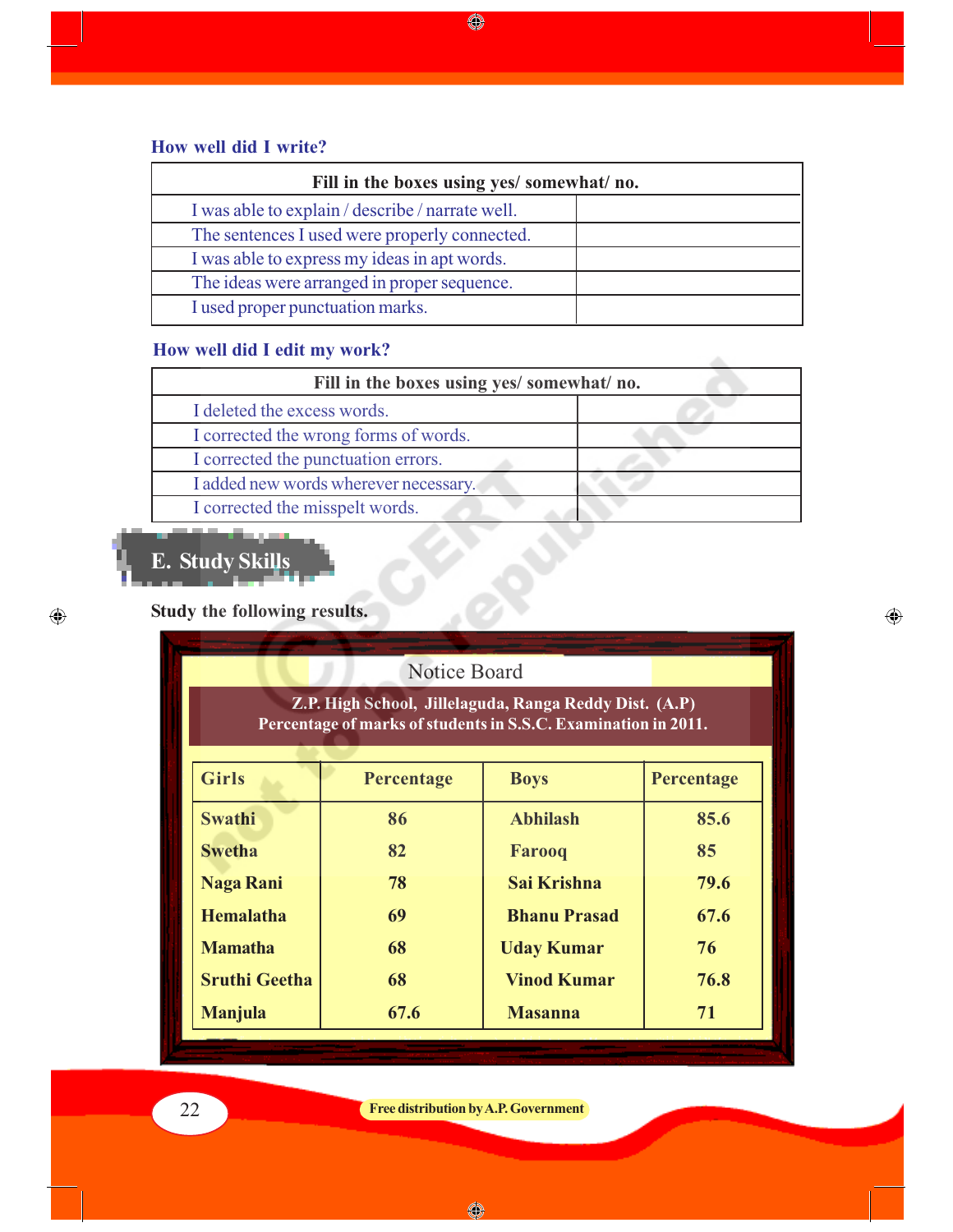# **How well did I write?**

| Fill in the boxes using yes/ somewhat/ no.       |  |  |
|--------------------------------------------------|--|--|
| I was able to explain / describe / narrate well. |  |  |
| The sentences I used were properly connected.    |  |  |
| I was able to express my ideas in apt words.     |  |  |
| The ideas were arranged in proper sequence.      |  |  |
| I used proper punctuation marks.                 |  |  |

 $\bigcirc\hspace{-0.3cm} \bigcirc\hspace{-0.3cm} \bigcirc$ 

# **How well did I edit my work?**

| Fill in the boxes using yes/ somewhat/ no. |  |  |  |
|--------------------------------------------|--|--|--|
| I deleted the excess words.                |  |  |  |
| I corrected the wrong forms of words.      |  |  |  |
| I corrected the punctuation errors.        |  |  |  |
| I added new words wherever necessary.      |  |  |  |
| I corrected the misspelt words.            |  |  |  |

 $\bigoplus$ 

# **E. Study Skills**

 $\bigoplus$ 

# **Study the following results.**

| <b>Notice Board</b>                                                                                                      |            |                     |            |
|--------------------------------------------------------------------------------------------------------------------------|------------|---------------------|------------|
| Z.P. High School, Jillelaguda, Ranga Reddy Dist. (A.P)<br>Percentage of marks of students in S.S.C. Examination in 2011. |            |                     |            |
| <b>Girls</b>                                                                                                             | Percentage | <b>Boys</b>         | Percentage |
| <b>Swathi</b>                                                                                                            | 86         | <b>Abhilash</b>     | 85.6       |
| <b>Swetha</b>                                                                                                            | 82         | <b>Farooq</b>       | 85         |
| <b>Naga Rani</b>                                                                                                         | 78         | Sai Krishna         | 79.6       |
| <b>Hemalatha</b>                                                                                                         | 69         | <b>Bhanu Prasad</b> | 67.6       |
| <b>Mamatha</b>                                                                                                           | 68         | <b>Uday Kumar</b>   | 76         |
| <b>Sruthi Geetha</b>                                                                                                     | 68         | <b>Vinod Kumar</b>  | 76.8       |
| <b>Manjula</b>                                                                                                           | 67.6       | <b>Masanna</b>      | 71         |
|                                                                                                                          |            |                     |            |

# 22 **Free distribution by A.P. Government**

 $\bigcirc$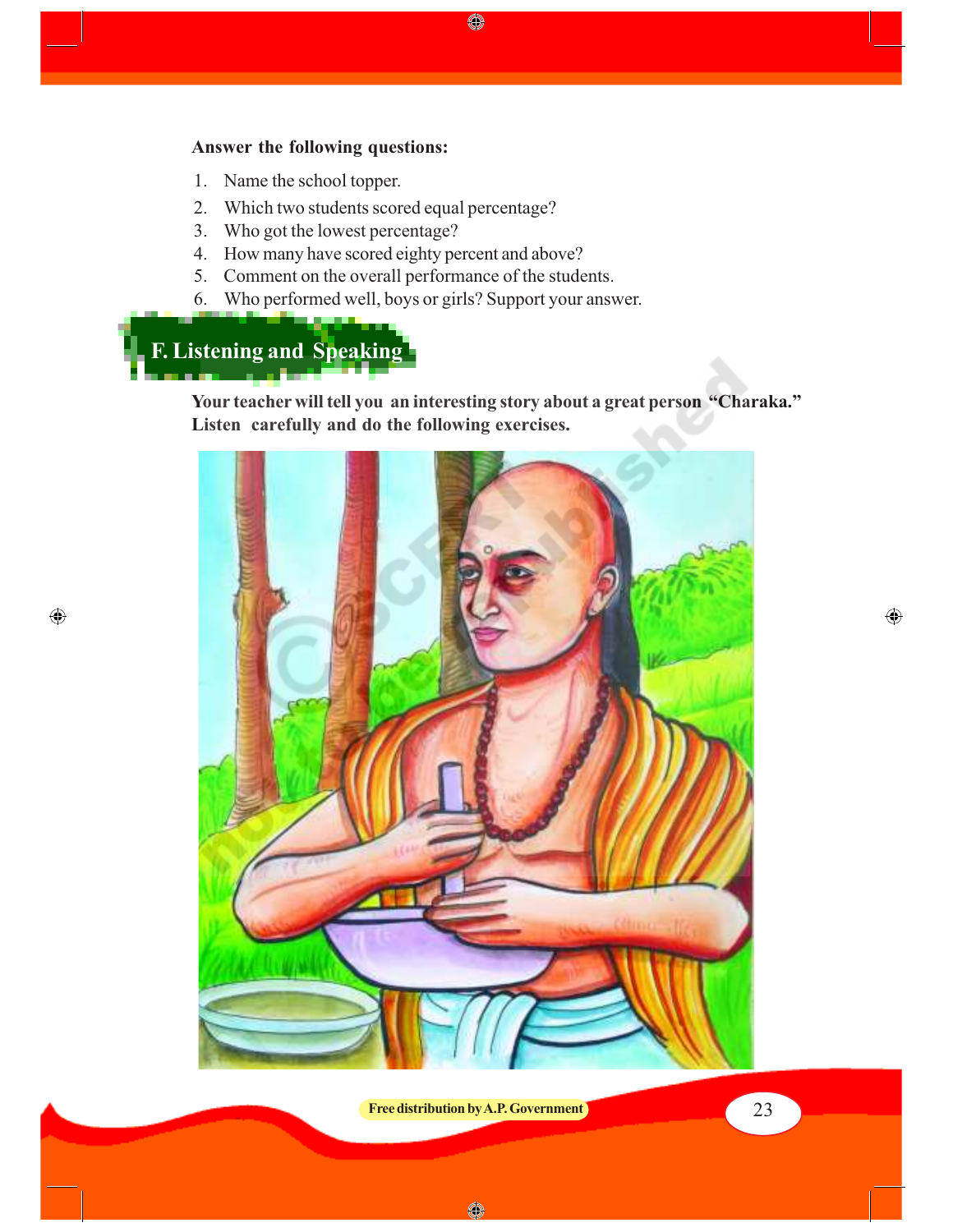# **Answer the following questions:**

- 1. Name the school topper.
- 2. Which two students scored equal percentage?
- 3. Who got the lowest percentage?
- 4. How many have scored eighty percent and above?
- 5. Comment on the overall performance of the students.
- 6. Who performed well, boys or girls? Support your answer.

# **F. Listening and Speaking**

 $\bigoplus$ 

**Your teacher will tell you an interesting story about a great person "Charaka." Listen carefully and do the following exercises.**

♦



 $\bigoplus$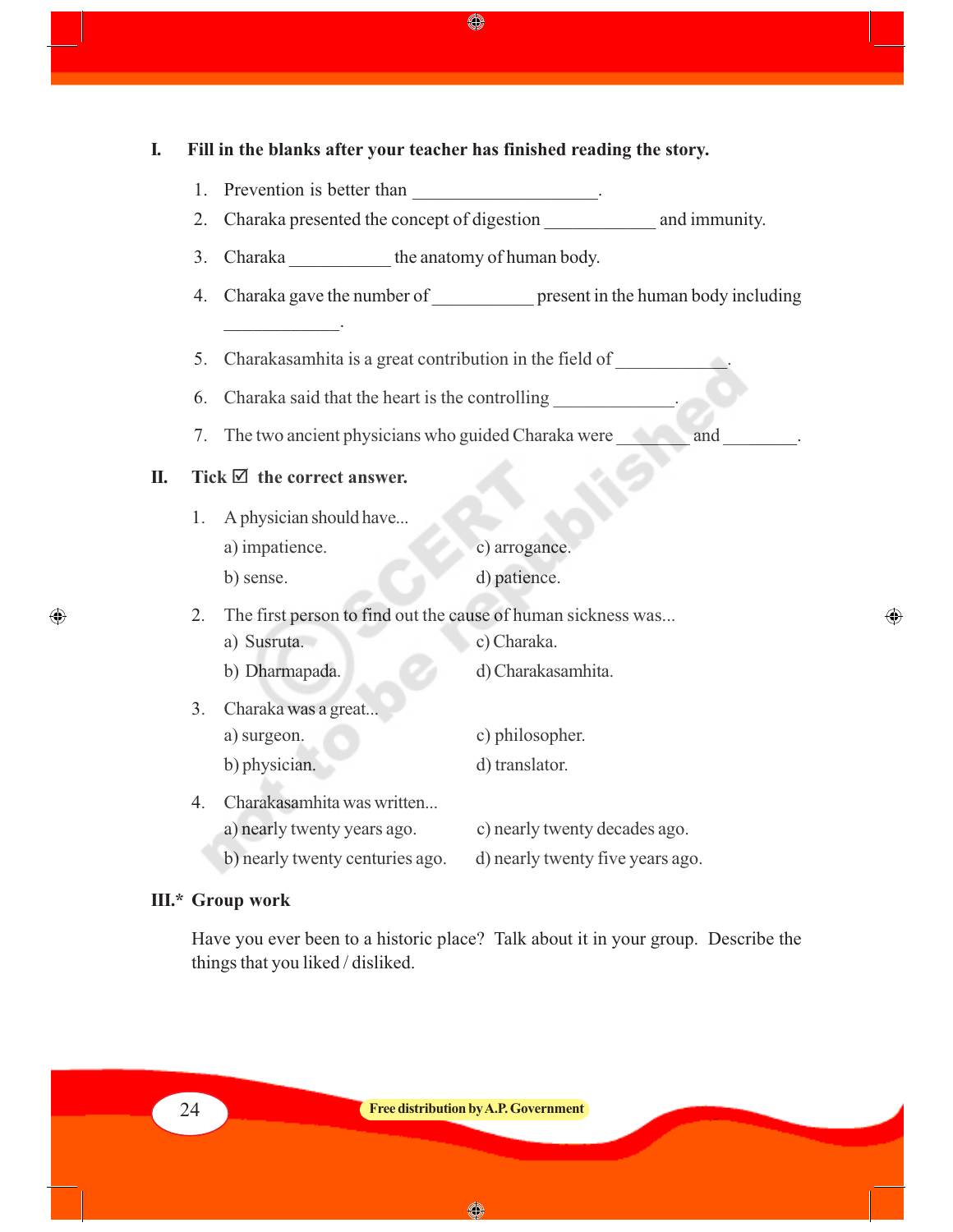**I. Fill in the blanks after your teacher has finished reading the story.** 1. Prevention is better than 2. Charaka presented the concept of digestion and immunity. 3. Charaka the anatomy of human body. 4. Charaka gave the number of present in the human body including  $\overline{\phantom{a}}$  . The set of the set of the set of the set of the set of the set of the set of the set of the set of the set of the set of the set of the set of the set of the set of the set of the set of the set of the set o 5. Charakasamhita is a great contribution in the field of 6. Charaka said that the heart is the controlling 7. The two ancient physicians who guided Charaka were and  $II.$  Tick  $\mathbb Z$  the correct answer. 1. A physician should have... a) impatience. c) arrogance. b) sense. d) patience. 2. The first person to find out the cause of human sickness was... a) Susruta. c) Charaka. b) Dharmapada. d) Charakasamhita. 3. Charaka was a great... a) surgeon. c) philosopher. b) physician. d) translator. 4. Charakasamhita was written... a) nearly twenty years ago. c) nearly twenty decades ago. b) nearly twenty centuries ago. d) nearly twenty five years ago.

⊕

◈

## **III.\* Group work**

 $\bigcirc$ 

Have you ever been to a historic place? Talk about it in your group. Describe the things that you liked / disliked.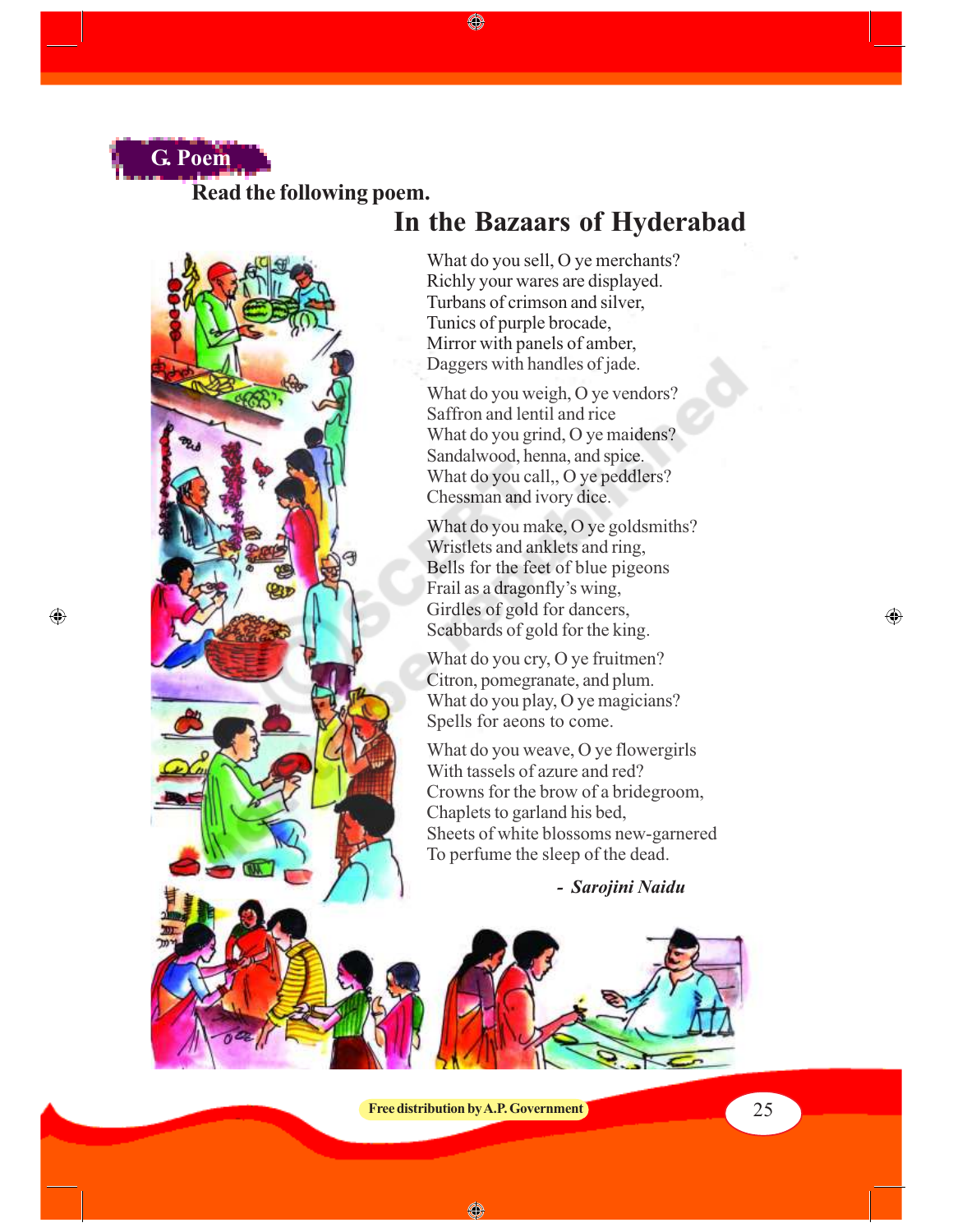

 $\bigoplus$ 

**Read the following poem.**



# **In the Bazaars of Hyderabad**

What do you sell, O ye merchants? Richly your wares are displayed. Turbans of crimson and silver, Tunics of purple brocade, Mirror with panels of amber, Daggers with handles of jade.

◈

What do you weigh, O ye vendors? Saffron and lentil and rice What do you grind, O ye maidens? Sandalwood, henna, and spice. What do you call,, O ye peddlers? Chessman and ivory dice.

What do you make, O ye goldsmiths? Wristlets and anklets and ring, Bells for the feet of blue pigeons Frail as a dragonfly's wing, Girdles of gold for dancers, Scabbards of gold for the king.

What do you cry, O ye fruitmen? Citron, pomegranate, and plum. What do you play, O ye magicians? Spells for aeons to come.

What do you weave, O ye flowergirls With tassels of azure and red? Crowns for the brow of a bridegroom, Chaplets to garland his bed, Sheets of white blossoms new-garnered To perfume the sleep of the dead.

 *- Sarojini Naidu*

**Free distribution by A.P. Government** 25

◈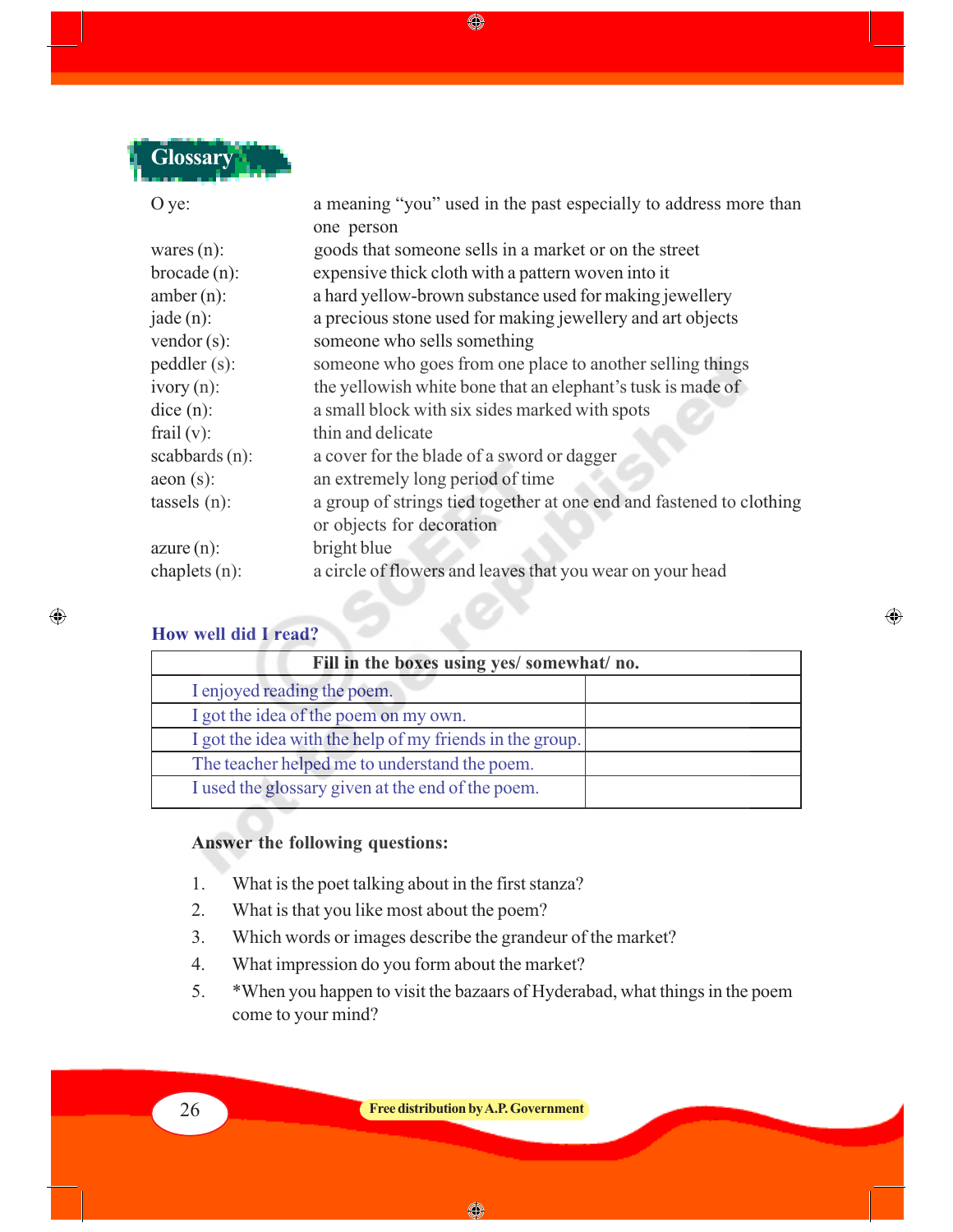

| O ye:             | a meaning "you" used in the past especially to address more than     |  |
|-------------------|----------------------------------------------------------------------|--|
|                   | one person                                                           |  |
| wares $(n)$ :     | goods that someone sells in a market or on the street                |  |
| $broade(n)$ :     | expensive thick cloth with a pattern woven into it                   |  |
| $amber(n)$ :      | a hard yellow-brown substance used for making jewellery              |  |
| $jade(n)$ :       | a precious stone used for making jewellery and art objects           |  |
| vendor $(s)$ :    | someone who sells something                                          |  |
| pedaler(s):       | someone who goes from one place to another selling things            |  |
| $ivory(n)$ :      | the yellowish white bone that an elephant's tusk is made of          |  |
| dice (n):         | a small block with six sides marked with spots                       |  |
| frail $(v)$ :     | thin and delicate                                                    |  |
| scabbards $(n)$ : | a cover for the blade of a sword or dagger                           |  |
| $a$ eon $(s)$ :   | an extremely long period of time                                     |  |
| tassels $(n)$ :   | a group of strings tied together at one end and fastened to clothing |  |
|                   | or objects for decoration                                            |  |
| $azure(n)$ :      | bright blue                                                          |  |
| chaplets $(n)$ :  | a circle of flowers and leaves that you wear on your head            |  |

|  |  |  |  | <b>How well did I read?</b> |  |
|--|--|--|--|-----------------------------|--|
|--|--|--|--|-----------------------------|--|

 $\bigoplus$ 

| Fill in the boxes using yes/ somewhat/ no.               |  |  |
|----------------------------------------------------------|--|--|
| I enjoyed reading the poem.                              |  |  |
| I got the idea of the poem on my own.                    |  |  |
| I got the idea with the help of my friends in the group. |  |  |
| The teacher helped me to understand the poem.            |  |  |
| I used the glossary given at the end of the poem.        |  |  |

 $\bigoplus$ 

- 5

# **Answer the following questions:**

- 1. What is the poet talking about in the first stanza?
- 2. What is that you like most about the poem?
- 3. Which words or images describe the grandeur of the market?
- 4. What impression do you form about the market?
- 5. \*When you happen to visit the bazaars of Hyderabad, what things in the poem come to your mind?

26 **Free distribution by A.P. Government**

◈

♦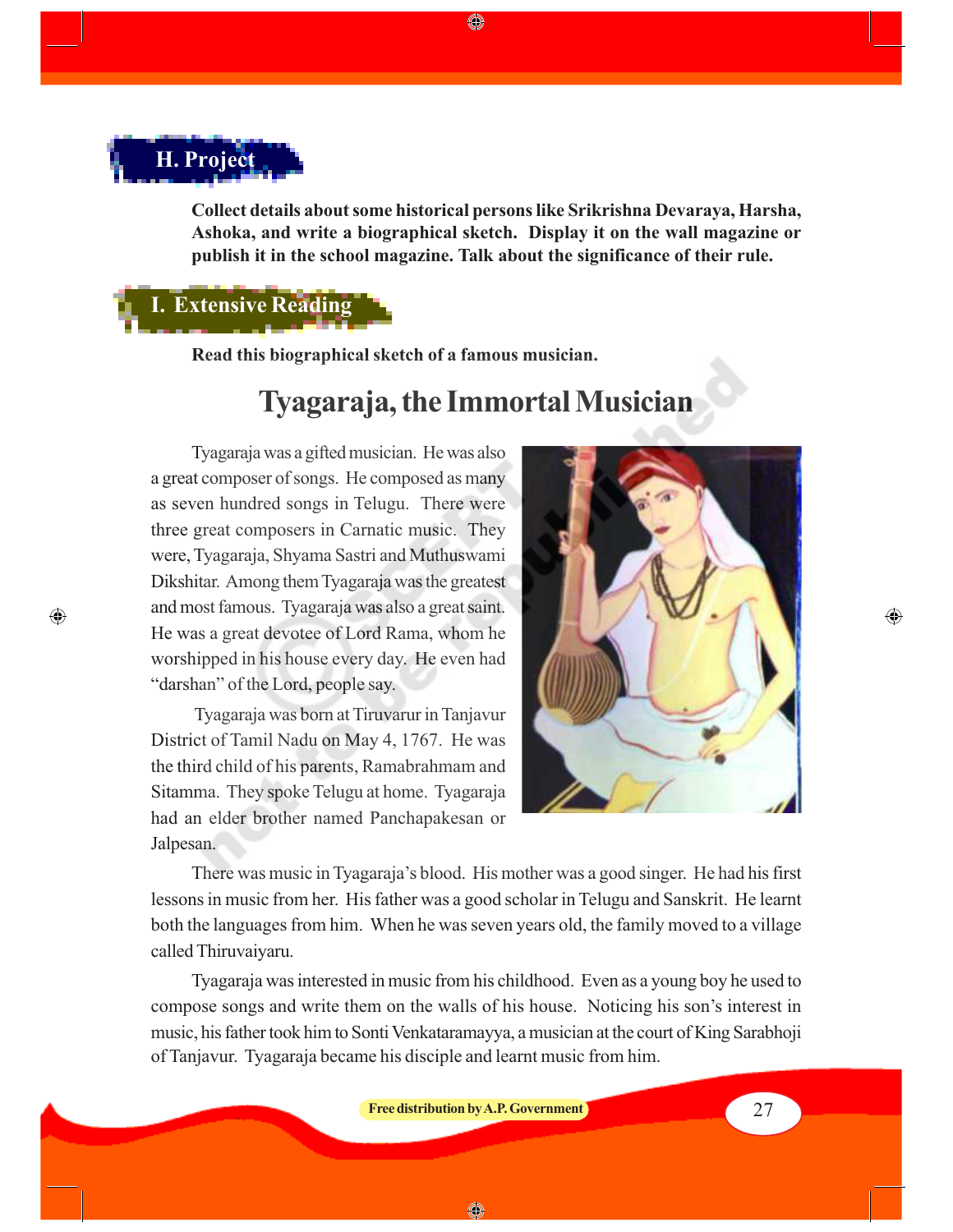# **H. Project**

 $\bigcirc$ 

**Collect details about some historical persons like Srikrishna Devaraya, Harsha, Ashoka, and write a biographical sketch. Display it on the wall magazine or publish it in the school magazine. Talk about the significance of their rule.**

◈

# **I. Extensive Reading**

**Read this biographical sketch of a famous musician.**

# **Tyagaraja, the Immortal Musician**

Tyagaraja was a gifted musician. He was also a great composer of songs. He composed as many as seven hundred songs in Telugu. There were three great composers in Carnatic music. They were, Tyagaraja, Shyama Sastri and Muthuswami Dikshitar. Among them Tyagaraja was the greatest and most famous. Tyagaraja was also a great saint. He was a great devotee of Lord Rama, whom he worshipped in his house every day. He even had "darshan" of the Lord, people say.

 Tyagaraja was born at Tiruvarur in Tanjavur District of Tamil Nadu on May 4, 1767. He was the third child of his parents, Ramabrahmam and Sitamma. They spoke Telugu at home. Tyagaraja had an elder brother named Panchapakesan or Jalpesan.



There was music in Tyagaraja's blood. His mother was a good singer. He had his first lessons in music from her. His father was a good scholar in Telugu and Sanskrit. He learnt both the languages from him. When he was seven years old, the family moved to a village called Thiruvaiyaru.

Tyagaraja was interested in music from his childhood. Even as a young boy he used to compose songs and write them on the walls of his house. Noticing his son's interest in music, his father took him to Sonti Venkataramayya, a musician at the court of King Sarabhoji of Tanjavur. Tyagaraja became his disciple and learnt music from him.

**Free distribution by A.P. Government 1988 1988 1988 1988 27** 

◈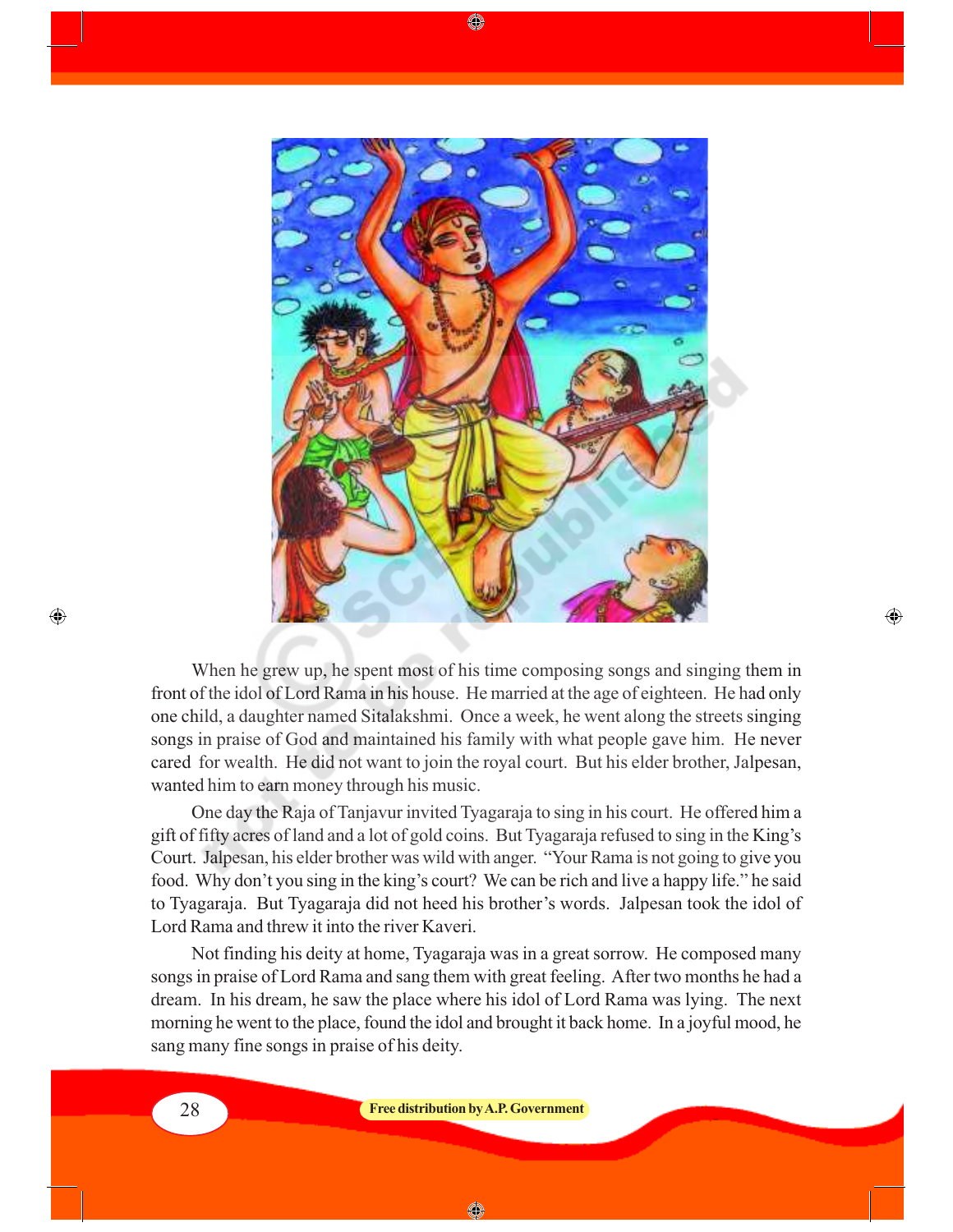

♠

When he grew up, he spent most of his time composing songs and singing them in front of the idol of Lord Rama in his house. He married at the age of eighteen. He had only one child, a daughter named Sitalakshmi. Once a week, he went along the streets singing songs in praise of God and maintained his family with what people gave him. He never cared for wealth. He did not want to join the royal court. But his elder brother, Jalpesan, wanted him to earn money through his music.

⊕

One day the Raja of Tanjavur invited Tyagaraja to sing in his court. He offered him a gift of fifty acres of land and a lot of gold coins. But Tyagaraja refused to sing in the King's Court. Jalpesan, his elder brother was wild with anger. "Your Rama is not going to give you food. Why don't you sing in the king's court? We can be rich and live a happy life." he said to Tyagaraja. But Tyagaraja did not heed his brother's words. Jalpesan took the idol of Lord Rama and threw it into the river Kaveri.

Not finding his deity at home, Tyagaraja was in a great sorrow. He composed many songs in praise of Lord Rama and sang them with great feeling. After two months he had a dream. In his dream, he saw the place where his idol of Lord Rama was lying. The next morning he went to the place, found the idol and brought it back home. In a joyful mood, he sang many fine songs in praise of his deity.

 $\bigoplus$